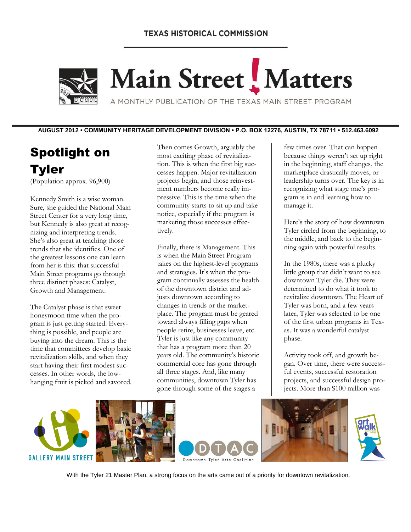# **TEXAS HISTORICAL COMMISSION**



Main Street Matters

A MONTHLY PUBLICATION OF THE TEXAS MAIN STREET PROGRAM

**AUGUST 2012 • COMMUNITY HERITAGE DEVELOPMENT DIVISION • P.O. BOX 12276, AUSTIN, TX 78711 • 512.463.6092**

# Spotlight on Tyler

(Population approx. 96,900)

Kennedy Smith is a wise woman. Sure, she guided the National Main Street Center for a very long time, but Kennedy is also great at recognizing and interpreting trends. She's also great at teaching those trends that she identifies. One of the greatest lessons one can learn from her is this: that successful Main Street programs go through three distinct phases: Catalyst, Growth and Management.

The Catalyst phase is that sweet honeymoon time when the program is just getting started. Everything is possible, and people are buying into the dream. This is the time that committees develop basic revitalization skills, and when they start having their first modest successes. In other words, the lowhanging fruit is picked and savored. Then comes Growth, arguably the most exciting phase of revitalization. This is when the first big successes happen. Major revitalization projects begin, and those reinvestment numbers become really impressive. This is the time when the community starts to sit up and take notice, especially if the program is marketing those successes effectively.

Finally, there is Management. This is when the Main Street Program takes on the highest-level programs and strategies. It's when the program continually assesses the health of the downtown district and adjusts downtown according to changes in trends or the marketplace. The program must be geared toward always filling gaps when people retire, businesses leave, etc. Tyler is just like any community that has a program more than 20 years old. The community's historic commercial core has gone through all three stages. And, like many communities, downtown Tyler has gone through some of the stages a

few times over. That can happen because things weren't set up right in the beginning, staff changes, the marketplace drastically moves, or leadership turns over. The key is in recognizing what stage one's program is in and learning how to manage it.

Here's the story of how downtown Tyler circled from the beginning, to the middle, and back to the beginning again with powerful results.

In the 1980s, there was a plucky little group that didn't want to see downtown Tyler die. They were determined to do what it took to revitalize downtown. The Heart of Tyler was born, and a few years later, Tyler was selected to be one of the first urban programs in Texas. It was a wonderful catalyst phase.

Activity took off, and growth began. Over time, there were successful events, successful restoration projects, and successful design projects. More than \$100 million was







With the Tyler 21 Master Plan, a strong focus on the arts came out of a priority for downtown revitalization.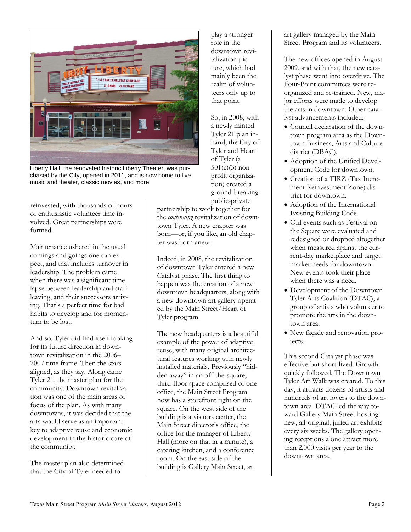

Liberty Hall, the renovated historic Liberty Theater, was purchased by the City, opened in 2011, and is now home to live music and theater, classic movies, and more.

reinvested, with thousands of hours of enthusiastic volunteer time involved. Great partnerships were formed.

Maintenance ushered in the usual comings and goings one can expect, and that includes turnover in leadership. The problem came when there was a significant time lapse between leadership and staff leaving, and their successors arriving. That's a perfect time for bad habits to develop and for momentum to be lost.

And so, Tyler did find itself looking for its future direction in downtown revitalization in the 2006– 2007 time frame. Then the stars aligned, as they say. Along came Tyler 21, the master plan for the community. Downtown revitalization was one of the main areas of focus of the plan. As with many downtowns, it was decided that the arts would serve as an important key to adaptive reuse and economic development in the historic core of the community.

The master plan also determined that the City of Tyler needed to

play a stronger role in the downtown revitalization picture, which had mainly been the realm of volunteers only up to that point.

So, in 2008, with a newly minted Tyler 21 plan inhand, the City of Tyler and Heart of Tyler (a  $501(c)(3)$  nonprofit organization) created a ground-breaking public-private

partnership to work together for the *continuing* revitalization of downtown Tyler. A new chapter was born—or, if you like, an old chapter was born anew.

Indeed, in 2008, the revitalization of downtown Tyler entered a new Catalyst phase. The first thing to happen was the creation of a new downtown headquarters, along with a new downtown art gallery operated by the Main Street/Heart of Tyler program.

The new headquarters is a beautiful example of the power of adaptive reuse, with many original architectural features working with newly installed materials. Previously "hidden away" in an off-the-square, third-floor space comprised of one office, the Main Street Program now has a storefront right on the square. On the west side of the building is a visitors center, the Main Street director's office, the office for the manager of Liberty Hall (more on that in a minute), a catering kitchen, and a conference room. On the east side of the building is Gallery Main Street, an

art gallery managed by the Main Street Program and its volunteers.

The new offices opened in August 2009, and with that, the new catalyst phase went into overdrive. The Four-Point committees were reorganized and re-trained. New, major efforts were made to develop the arts in downtown. Other catalyst advancements included:

- Council declaration of the downtown program area as the Downtown Business, Arts and Culture district (DBAC).
- Adoption of the Unified Development Code for downtown.
- Creation of a TIRZ (Tax Increment Reinvestment Zone) district for downtown.
- Adoption of the International Existing Building Code.
- Old events such as Festival on the Square were evaluated and redesigned or dropped altogether when measured against the current-day marketplace and target market needs for downtown. New events took their place when there was a need.
- Development of the Downtown Tyler Arts Coalition (DTAC), a group of artists who volunteer to promote the arts in the downtown area.
- New façade and renovation projects.

This second Catalyst phase was effective but short-lived. Growth quickly followed. The Downtown Tyler Art Walk was created. To this day, it attracts dozens of artists and hundreds of art lovers to the downtown area. DTAC led the way toward Gallery Main Street hosting new, all-original, juried art exhibits every six weeks. The gallery opening receptions alone attract more than 2,000 visits per year to the downtown area.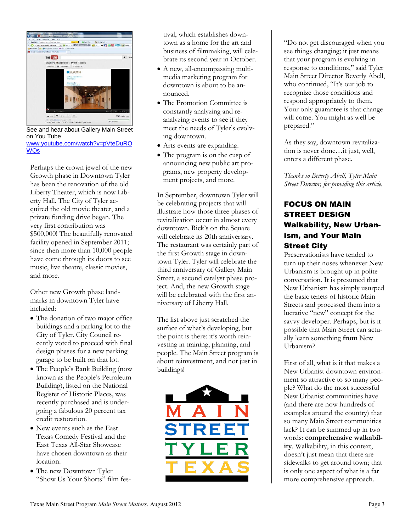

See and hear about Gallery Main Street on You Tube [www.youtube.com/watch?v=pVteDuRQ](http://www.youtube.com/watch?v=pVteDuRQWQs) [WQs](http://www.youtube.com/watch?v=pVteDuRQWQs)

Perhaps the crown jewel of the new Growth phase in Downtown Tyler has been the renovation of the old Liberty Theater, which is now Liberty Hall. The City of Tyler acquired the old movie theater, and a private funding drive began. The very first contribution was \$500,000! The beautifully renovated facility opened in September 2011; since then more than 10,000 people have come through its doors to see music, live theatre, classic movies, and more.

Other new Growth phase landmarks in downtown Tyler have included:

- The donation of two major office buildings and a parking lot to the City of Tyler. City Council recently voted to proceed with final design phases for a new parking garage to be built on that lot.
- The People's Bank Building (now known as the People's Petroleum Building), listed on the National Register of Historic Places, was recently purchased and is undergoing a fabulous 20 percent tax credit restoration.
- New events such as the East Texas Comedy Festival and the East Texas All-Star Showcase have chosen downtown as their location.
- The new Downtown Tyler "Show Us Your Shorts" film fes-

tival, which establishes downtown as a home for the art and business of filmmaking, will celebrate its second year in October.

- A new, all-encompassing multimedia marketing program for downtown is about to be announced.
- The Promotion Committee is constantly analyzing and reanalyzing events to see if they meet the needs of Tyler's evolving downtown.
- Arts events are expanding.
- The program is on the cusp of announcing new public art programs, new property development projects, and more.

In September, downtown Tyler will be celebrating projects that will illustrate how those three phases of revitalization occur in almost every downtown. Rick's on the Square will celebrate its 20th anniversary. The restaurant was certainly part of the first Growth stage in downtown Tyler. Tyler will celebrate the third anniversary of Gallery Main Street, a second catalyst phase project. And, the new Growth stage will be celebrated with the first anniversary of Liberty Hall.

The list above just scratched the surface of what's developing, but the point is there: it's worth reinvesting in training, planning, and people. The Main Street program is about reinvestment, and not just in buildings!



"Do not get discouraged when you see things changing; it just means that your program is evolving in response to conditions," said Tyler Main Street Director Beverly Abell, who continued, "It's our job to recognize those conditions and respond appropriately to them. Your only guarantee is that change will come. You might as well be prepared."

As they say, downtown revitalization is never done…it just, well, enters a different phase.

*Thanks to Beverly Abell, Tyler Main Street Director, for providing this article.*

# FOCUS ON MAIN STREET DESIGN Walkability, New Urbanism, and Your Main Street City

Preservationists have tended to turn up their noses whenever New Urbanism is brought up in polite conversation. It is presumed that New Urbanism has simply usurped the basic tenets of historic Main Streets and processed them into a lucrative "new" concept for the savvy developer. Perhaps, but is it possible that Main Street can actually learn something **from** New Urbanism?

First of all, what is it that makes a New Urbanist downtown environment so attractive to so many people? What do the most successful New Urbanist communities have (and there are now hundreds of examples around the country) that so many Main Street communities lack? It can be summed up in two words: **comprehensive walkability**. Walkability, in this context, doesn't just mean that there are sidewalks to get around town; that is only one aspect of what is a far more comprehensive approach.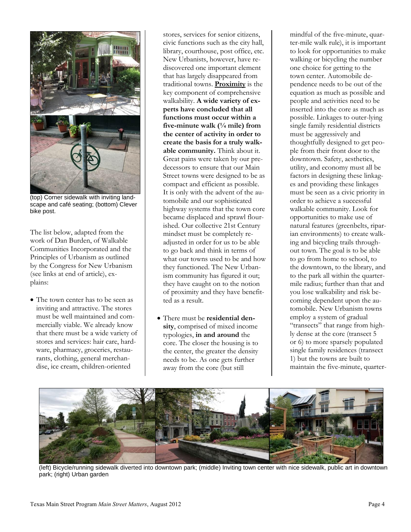

(top) Corner sidewalk with inviting landscape and café seating; (bottom) Clever bike post.

The list below, adapted from the work of Dan Burden, of Walkable Communities Incorporated and the Principles of Urbanism as outlined by the Congress for New Urbanism (see links at end of article), explains:

• The town center has to be seen as inviting and attractive. The stores must be well maintained and commercially viable. We already know that there must be a wide variety of stores and services: hair care, hardware, pharmacy, groceries, restaurants, clothing, general merchandise, ice cream, children-oriented

stores, services for senior citizens, civic functions such as the city hall, library, courthouse, post office, etc. New Urbanists, however, have rediscovered one important element that has largely disappeared from traditional towns. **Proximity** is the key component of comprehensive walkability. **A wide variety of experts have concluded that all functions must occur within a five-minute walk (¼ mile) from the center of activity in order to create the basis for a truly walkable community.** Think about it. Great pains were taken by our predecessors to ensure that our Main Street towns were designed to be as compact and efficient as possible. It is only with the advent of the automobile and our sophisticated highway systems that the town core became displaced and sprawl flourished. Our collective 21st Century mindset must be completely readjusted in order for us to be able to go back and think in terms of what our towns used to be and how they functioned. The New Urbanism community has figured it out; they have caught on to the notion of proximity and they have benefitted as a result.

 There must be **residential density**, comprised of mixed income typologies, **in and around** the core. The closer the housing is to the center, the greater the density needs to be. As one gets further away from the core (but still

mindful of the five-minute, quarter-mile walk rule), it is important to look for opportunities to make walking or bicycling the number one choice for getting to the town center. Automobile dependence needs to be out of the equation as much as possible and people and activities need to be inserted into the core as much as possible. Linkages to outer-lying single family residential districts must be aggressively and thoughtfully designed to get people from their front door to the downtown. Safety, aesthetics, utility, and economy must all be factors in designing these linkages and providing these linkages must be seen as a civic priority in order to achieve a successful walkable community. Look for opportunities to make use of natural features (greenbelts, riparian environments) to create walking and bicycling trails throughout town. The goal is to be able to go from home to school, to the downtown, to the library, and to the park all within the quartermile radius; further than that and you lose walkability and risk becoming dependent upon the automobile. New Urbanism towns employ a system of gradual "transects" that range from highly dense at the core (transect 5 or 6) to more sparsely populated single family residences (transect 1) but the towns are built to maintain the five-minute, quarter-



(left) Bicycle/running sidewalk diverted into downtown park; (middle) Inviting town center with nice sidewalk, public art in downtown park; (right) Urban garden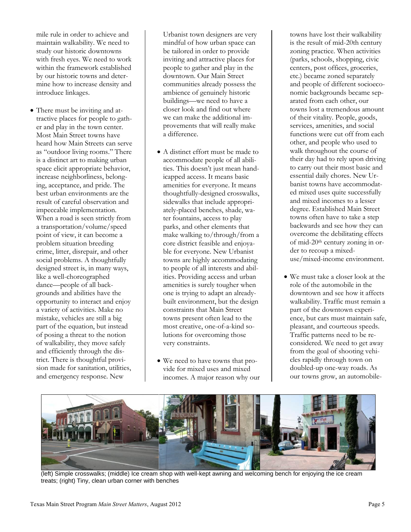mile rule in order to achieve and maintain walkability. We need to study our historic downtowns with fresh eyes. We need to work within the framework established by our historic towns and determine how to increase density and introduce linkages.

 There must be inviting and attractive places for people to gather and play in the town center. Most Main Street towns have heard how Main Streets can serve as "outdoor living rooms." There is a distinct art to making urban space elicit appropriate behavior, increase neighborliness, belonging, acceptance, and pride. The best urban environments are the result of careful observation and impeccable implementation. When a road is seen strictly from a transportation/volume/speed point of view, it can become a problem situation breeding crime, litter, disrepair, and other social problems. A thoughtfully designed street is, in many ways, like a well-choreographed dance—people of all backgrounds and abilities have the opportunity to interact and enjoy a variety of activities. Make no mistake, vehicles are still a big part of the equation, but instead of posing a threat to the notion of walkability, they move safely and efficiently through the district. There is thoughtful provision made for sanitation, utilities, and emergency response. New

Urbanist town designers are very mindful of how urban space can be tailored in order to provide inviting and attractive places for people to gather and play in the downtown. Our Main Street communities already possess the ambience of genuinely historic buildings—we need to have a closer look and find out where we can make the additional improvements that will really make a difference.

- A distinct effort must be made to accommodate people of all abilities. This doesn't just mean handicapped access. It means basic amenities for everyone. It means thoughtfully-designed crosswalks, sidewalks that include appropriately-placed benches, shade, water fountains, access to play parks, and other elements that make walking to/through/from a core district feasible and enjoyable for everyone. New Urbanist towns are highly accommodating to people of all interests and abilities. Providing access and urban amenities is surely tougher when one is trying to adapt an alreadybuilt environment, but the design constraints that Main Street towns present often lead to the most creative, one-of-a-kind solutions for overcoming those very constraints.
- We need to have towns that provide for mixed uses and mixed incomes. A major reason why our

towns have lost their walkability is the result of mid-20th century zoning practice. When activities (parks, schools, shopping, civic centers, post offices, groceries, etc.) became zoned separately and people of different socioeconomic backgrounds became separated from each other, our towns lost a tremendous amount of their vitality. People, goods, services, amenities, and social functions were cut off from each other, and people who used to walk throughout the course of their day had to rely upon driving to carry out their most basic and essential daily chores. New Urbanist towns have accommodated mixed uses quite successfully and mixed incomes to a lesser degree. Established Main Street towns often have to take a step backwards and see how they can overcome the debilitating effects of mid-20th century zoning in order to recoup a mixeduse/mixed-income environment.

 We must take a closer look at the role of the automobile in the downtown and see how it affects walkability. Traffic must remain a part of the downtown experience, but cars must maintain safe, pleasant, and courteous speeds. Traffic patterns need to be reconsidered. We need to get away from the goal of shooting vehicles rapidly through town on doubled-up one-way roads. As our towns grow, an automobile-



(left) Simple crosswalks; (middle) Ice cream shop with well-kept awning and welcoming bench for enjoying the ice cream treats; (right) Tiny, clean urban corner with benches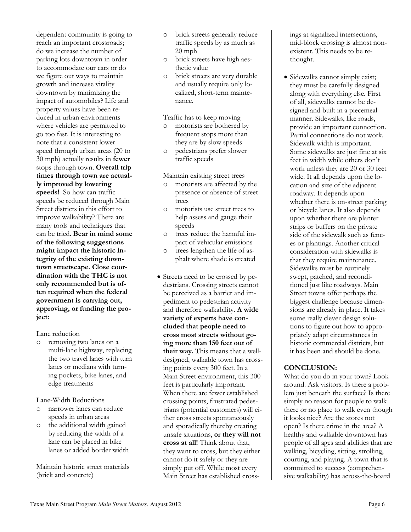dependent community is going to reach an important crossroads; do we increase the number of parking lots downtown in order to accommodate our cars or do we figure out ways to maintain growth and increase vitality downtown by minimizing the impact of automobiles? Life and property values have been reduced in urban environments where vehicles are permitted to go too fast. It is interesting to note that a consistent lower speed through urban areas (20 to 30 mph) actually results in **fewer** stops through town. **Overall trip times through town are actually improved by lowering speeds!** So how can traffic speeds be reduced through Main Street districts in this effort to improve walkability? There are many tools and techniques that can be tried. **Bear in mind some of the following suggestions might impact the historic integrity of the existing downtown streetscape. Close coordination with the THC is not only recommended but is often required when the federal government is carrying out, approving, or funding the project:**

#### Lane reduction

o removing two lanes on a multi-lane highway, replacing the two travel lanes with turn lanes or medians with turning pockets, bike lanes, and edge treatments

#### Lane-Width Reductions

- o narrower lanes can reduce speeds in urban areas
- o the additional width gained by reducing the width of a lane can be placed in bike lanes or added border width

Maintain historic street materials (brick and concrete)

- o brick streets generally reduce traffic speeds by as much as 20 mph
- o brick streets have high aesthetic value
- o brick streets are very durable and usually require only localized, short-term maintenance.

Traffic has to keep moving

- motorists are bothered by frequent stops more than they are by slow speeds
- o pedestrians prefer slower traffic speeds

Maintain existing street trees

- motorists are affected by the presence or absence of street trees
- o motorists use street trees to help assess and gauge their speeds
- o trees reduce the harmful impact of vehicular emissions
- o trees lengthen the life of asphalt where shade is created
- Streets need to be crossed by pedestrians. Crossing streets cannot be perceived as a barrier and impediment to pedestrian activity and therefore walkability. **A wide variety of experts have concluded that people need to cross most streets without going more than 150 feet out of their way.** This means that a welldesigned, walkable town has crossing points every 300 feet. In a Main Street environment, this 300 feet is particularly important. When there are fewer established crossing points, frustrated pedestrians (potential customers) will either cross streets spontaneously and sporadically thereby creating unsafe situations, **or they will not cross at all!** Think about that, they want to cross, but they either cannot do it safely or they are simply put off. While most every Main Street has established cross-

ings at signalized intersections, mid-block crossing is almost nonexistent. This needs to be rethought.

• Sidewalks cannot simply exist; they must be carefully designed along with everything else. First of all, sidewalks cannot be designed and built in a piecemeal manner. Sidewalks, like roads, provide an important connection. Partial connections do not work. Sidewalk width is important. Some sidewalks are just fine at six feet in width while others don't work unless they are 20 or 30 feet wide. It all depends upon the location and size of the adjacent roadway. It depends upon whether there is on-street parking or bicycle lanes. It also depends upon whether there are planter strips or buffers on the private side of the sidewalk such as fences or plantings. Another critical consideration with sidewalks is that they require maintenance. Sidewalks must be routinely swept, patched, and reconditioned just like roadways. Main Street towns offer perhaps the biggest challenge because dimensions are already in place. It takes some really clever design solutions to figure out how to appropriately adapt circumstances in historic commercial districts, but it has been and should be done.

#### **CONCLUSION:**

What do you do in your town? Look around. Ask visitors. Is there a problem just beneath the surface? Is there simply no reason for people to walk there or no place to walk even though it looks nice? Are the stores not open? Is there crime in the area? A healthy and walkable downtown has people of all ages and abilities that are walking, bicycling, sitting, strolling, courting, and playing. A town that is committed to success (comprehensive walkability) has across-the-board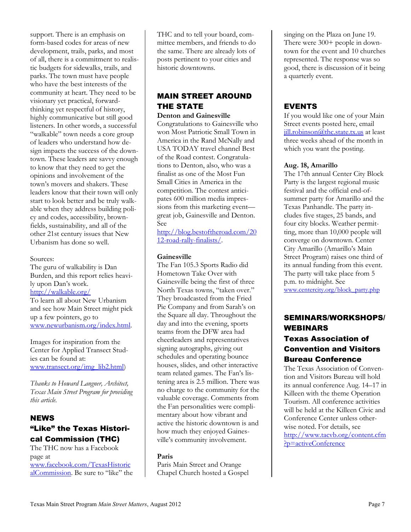support. There is an emphasis on form-based codes for areas of new development, trails, parks, and most of all, there is a commitment to realistic budgets for sidewalks, trails, and parks. The town must have people who have the best interests of the community at heart. They need to be visionary yet practical, forwardthinking yet respectful of history, highly communicative but still good listeners. In other words, a successful "walkable" town needs a core group of leaders who understand how design impacts the success of the downtown. These leaders are savvy enough to know that they need to get the opinions and involvement of the town's movers and shakers. These leaders know that their town will only start to look better and be truly walkable when they address building policy and codes, accessibility, brownfields, sustainability, and all of the other 21st century issues that New Urbanism has done so well.

Sources:

The guru of walkability is Dan Burden, and this report relies heavily upon Dan's work. <http://walkable.org/> To learn all about New Urbanism and see how Main Street might pick up a few pointers, go to [www.newurbanism.org/index.html.](http://www.newurbanism.org/index.html) 

Images for inspiration from the Center for Applied Transect Studies can be found at: [www.transect.org/img\\_lib2.html\)](http://www.transect.org/img_lib2.html)

*Thanks to Howard Langner, Architect, Texas Main Street Program for providing this article.*

# **NEWS** "Like" the Texas Historical Commission (THC)

The THC now has a Facebook page at [www.facebook.com/TexasHistoric](http://www.facebook.com/TexasHistoricalCommission) [alCommission](http://www.facebook.com/TexasHistoricalCommission). Be sure to "like" the THC and to tell your board, committee members, and friends to do the same. There are already lots of posts pertinent to your cities and historic downtowns.

# MAIN STREET AROUND THE STATE

#### **Denton and Gainesville**

Congratulations to Gainesville who won Most Patriotic Small Town in America in the Rand McNally and USA TODAY travel channel Best of the Road contest. Congratulations to Denton, also, who was a finalist as one of the Most Fun Small Cities in America in the competition. The contest anticipates 600 million media impressions from this marketing event great job, Gainesville and Denton. See

[http://blog.bestoftheroad.com/20](http://blog.bestoftheroad.com/2012-road-rally-finalists/) [12-road-rally-finalists/.](http://blog.bestoftheroad.com/2012-road-rally-finalists/)

#### **Gainesville**

The Fan 105.3 Sports Radio did Hometown Take Over with Gainesville being the first of three North Texas towns, "taken over." They broadcasted from the Fried Pie Company and from Sarah's on the Square all day. Throughout the day and into the evening, sports teams from the DFW area had cheerleaders and representatives signing autographs, giving out schedules and operating bounce houses, slides, and other interactive team related games. The Fan's listening area is 2.5 million. There was no charge to the community for the valuable coverage. Comments from the Fan personalities were complimentary about how vibrant and active the historic downtown is and how much they enjoyed Gainesville's community involvement.

#### **Paris**

Paris Main Street and Orange Chapel Church hosted a Gospel

singing on the Plaza on June 19. There were  $300+$  people in downtown for the event and 10 churches represented. The response was so good, there is discussion of it being a quarterly event.

## EVENTS

If you would like one of your Main Street events posted here, email [jill.robinson@thc.state.tx.us](mailto:jill.robinson@thc.state.tx.us) at least three weeks ahead of the month in which you want the posting.

#### **Aug. 18, Amarillo**

The 17th annual Center City Block Party is the largest regional music festival and the official end-ofsummer party for Amarillo and the Texas Panhandle. The party includes five stages, 25 bands, and four city blocks. Weather permitting, more than 10,000 people will converge on downtown. Center City Amarillo (Amarillo's Main Street Program) raises one third of its annual funding from this event. The party will take place from 5 p.m. to midnight. See [www.centercity.org/block\\_party.php](http://www.centercity.org/block_party.php)

# SEMINARS/WORKSHOPS/ WEBINARS Texas Association of Convention and Visitors Bureau Conference

The Texas Association of Convention and Visitors Bureau will hold its annual conference Aug. 14–17 in Killeen with the theme Operation Tourism. All conference activities will be held at the Killeen Civic and Conference Center unless otherwise noted. For details, see [http://www.tacvb.org/content.cfm](http://www.tacvb.org/content.cfm?p=activeConference) [?p=activeConference](http://www.tacvb.org/content.cfm?p=activeConference)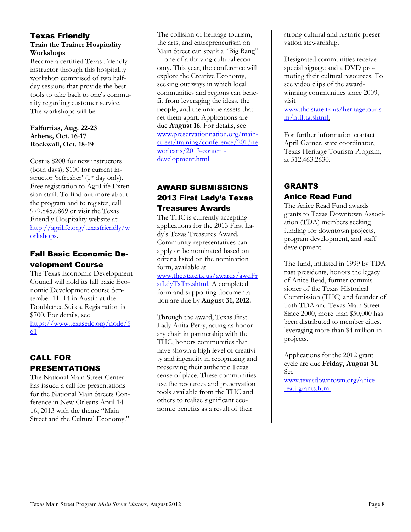#### Texas Friendly **Train the Trainer Hospitality Workshops**

Become a certified Texas Friendly instructor through this hospitality workshop comprised of two halfday sessions that provide the best tools to take back to one's community regarding customer service. The workshops will be:

#### **Falfurrias, Aug. 22-23 Athens, Oct. 16-17 Rockwall, Oct. 18-19**

Cost is \$200 for new instructors (both days); \$100 for current instructor 'refresher' (1<sup>st</sup> day only). Free registration to AgriLife Extension staff. To find out more about the program and to register, call 979.845.0869 or visit the Texas Friendly Hospitality website at: [http://agrilife.org/texasfriendly/w](http://agrilife.org/texasfriendly/workshops) [orkshops.](http://agrilife.org/texasfriendly/workshops) 

## Fall Basic Economic Development Course

The Texas Economic Development Council will hold its fall basic Economic Development course September 11–14 in Austin at the Doubletree Suites. Registration is \$700. For details, see [https://www.texasedc.org/node/5](https://www.texasedc.org/node/561) [61](https://www.texasedc.org/node/561)

# CALL FOR PRESENTATIONS

The National Main Street Center has issued a call for presentations for the National Main Streets Conference in New Orleans April 14– 16, 2013 with the theme "Main Street and the Cultural Economy."

The collision of heritage tourism, the arts, and entrepreneurism on Main Street can spark a "Big Bang" —one of a thriving cultural economy. This year, the conference will explore the Creative Economy, seeking out ways in which local communities and regions can benefit from leveraging the ideas, the people, and the unique assets that set them apart. Applications are due **August 16**. For details, see [www.preservationnation.org/main](http://www.preservationnation.org/main-street/training/conference/2013neworleans/2013-content-development.html)[street/training/conference/2013ne](http://www.preservationnation.org/main-street/training/conference/2013neworleans/2013-content-development.html) [worleans/2013-content](http://www.preservationnation.org/main-street/training/conference/2013neworleans/2013-content-development.html)[development.html](http://www.preservationnation.org/main-street/training/conference/2013neworleans/2013-content-development.html)

## AWARD SUBMISSIONS 2013 First Lady's Texas Treasures Awards

The THC is currently accepting applications for the 2013 First Lady's Texas Treasures Award. Community representatives can apply or be nominated based on criteria listed on the nomination form, available at [www.thc.state.tx.us/awards/awdFr](http://www.thc.state.tx.us/awards/awdFrstLdyTxTrs.shtml) [stLdyTxTrs.shtml.](http://www.thc.state.tx.us/awards/awdFrstLdyTxTrs.shtml) A completed form and supporting documentation are due by **August 31, 2012.** 

Through the award, Texas First Lady Anita Perry, acting as honorary chair in partnership with the THC, honors communities that have shown a high level of creativity and ingenuity in recognizing and preserving their authentic Texas sense of place. These communities use the resources and preservation tools available from the THC and others to realize significant economic benefits as a result of their

strong cultural and historic preservation stewardship.

Designated communities receive special signage and a DVD promoting their cultural resources. To see video clips of the awardwinning communities since 2009, visit

[www.thc.state.tx.us/heritagetouris](http://www.thc.state.tx.us/heritagetourism/htfltta.shtml) [m/htfltta.shtml.](http://www.thc.state.tx.us/heritagetourism/htfltta.shtml)

For further information contact April Garner, state coordinator, Texas Heritage Tourism Program, at 512.463.2630.

# GRANTS Anice Read Fund

The Anice Read Fund awards grants to Texas Downtown Association (TDA) members seeking funding for downtown projects, program development, and staff development.

The fund, initiated in 1999 by TDA past presidents, honors the legacy of Anice Read, former commissioner of the Texas Historical Commission (THC) and founder of both TDA and Texas Main Street. Since 2000, more than \$50,000 has been distributed to member cities, leveraging more than \$4 million in projects.

Applications for the 2012 grant cycle are due **Friday, August 31**. See

[www.texasdowntown.org/anice](http://www.texasdowntown.org/anice-read-grants.html)[read-grants.html](http://www.texasdowntown.org/anice-read-grants.html)